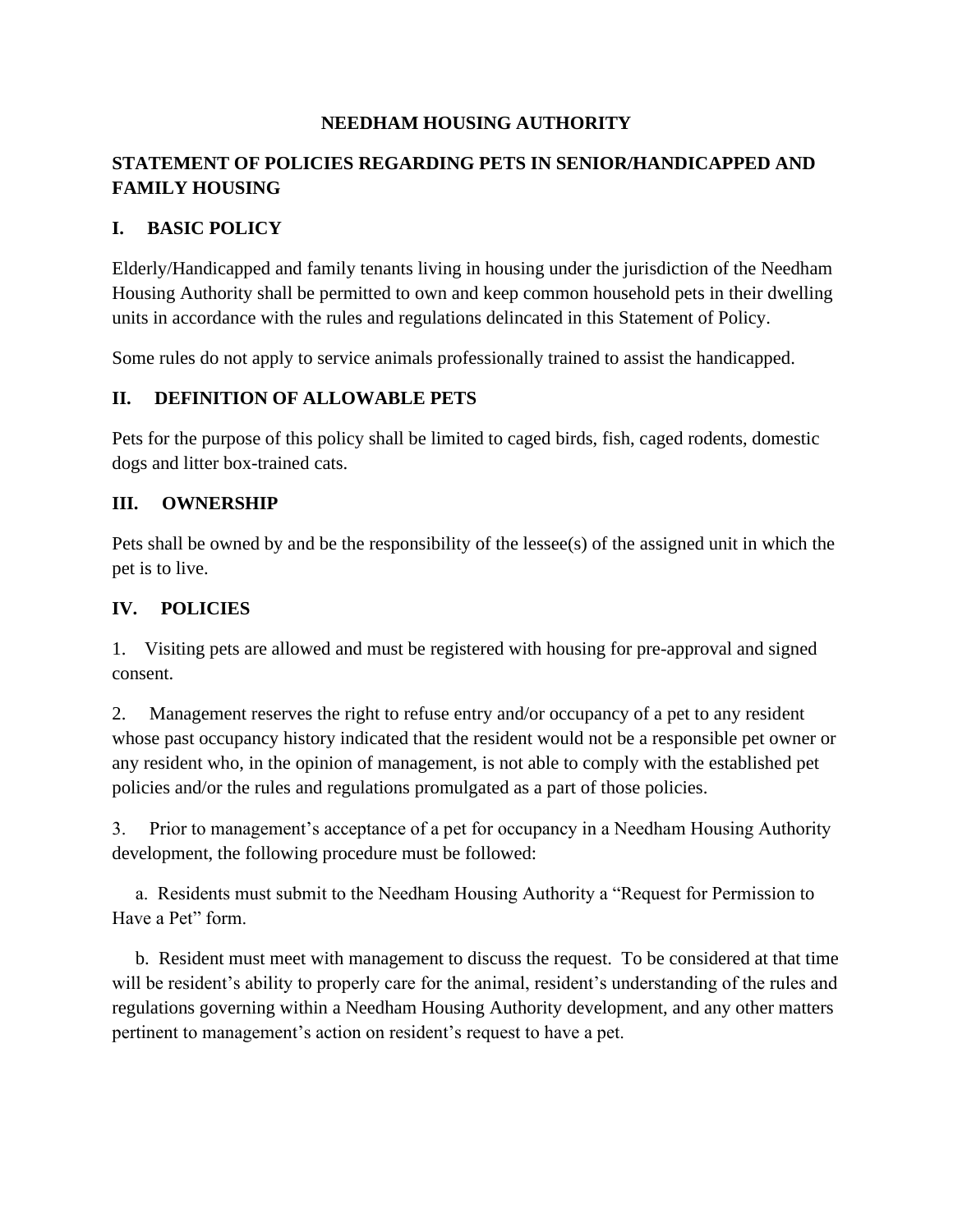#### **NEEDHAM HOUSING AUTHORITY**

# **STATEMENT OF POLICIES REGARDING PETS IN SENIOR/HANDICAPPED AND FAMILY HOUSING**

#### **I. BASIC POLICY**

Elderly/Handicapped and family tenants living in housing under the jurisdiction of the Needham Housing Authority shall be permitted to own and keep common household pets in their dwelling units in accordance with the rules and regulations delincated in this Statement of Policy.

Some rules do not apply to service animals professionally trained to assist the handicapped.

### **II. DEFINITION OF ALLOWABLE PETS**

Pets for the purpose of this policy shall be limited to caged birds, fish, caged rodents, domestic dogs and litter box-trained cats.

#### **III. OWNERSHIP**

Pets shall be owned by and be the responsibility of the lessee(s) of the assigned unit in which the pet is to live.

### **IV. POLICIES**

1. Visiting pets are allowed and must be registered with housing for pre-approval and signed consent.

2. Management reserves the right to refuse entry and/or occupancy of a pet to any resident whose past occupancy history indicated that the resident would not be a responsible pet owner or any resident who, in the opinion of management, is not able to comply with the established pet policies and/or the rules and regulations promulgated as a part of those policies.

3. Prior to management's acceptance of a pet for occupancy in a Needham Housing Authority development, the following procedure must be followed:

 a. Residents must submit to the Needham Housing Authority a "Request for Permission to Have a Pet" form.

 b. Resident must meet with management to discuss the request. To be considered at that time will be resident's ability to properly care for the animal, resident's understanding of the rules and regulations governing within a Needham Housing Authority development, and any other matters pertinent to management's action on resident's request to have a pet.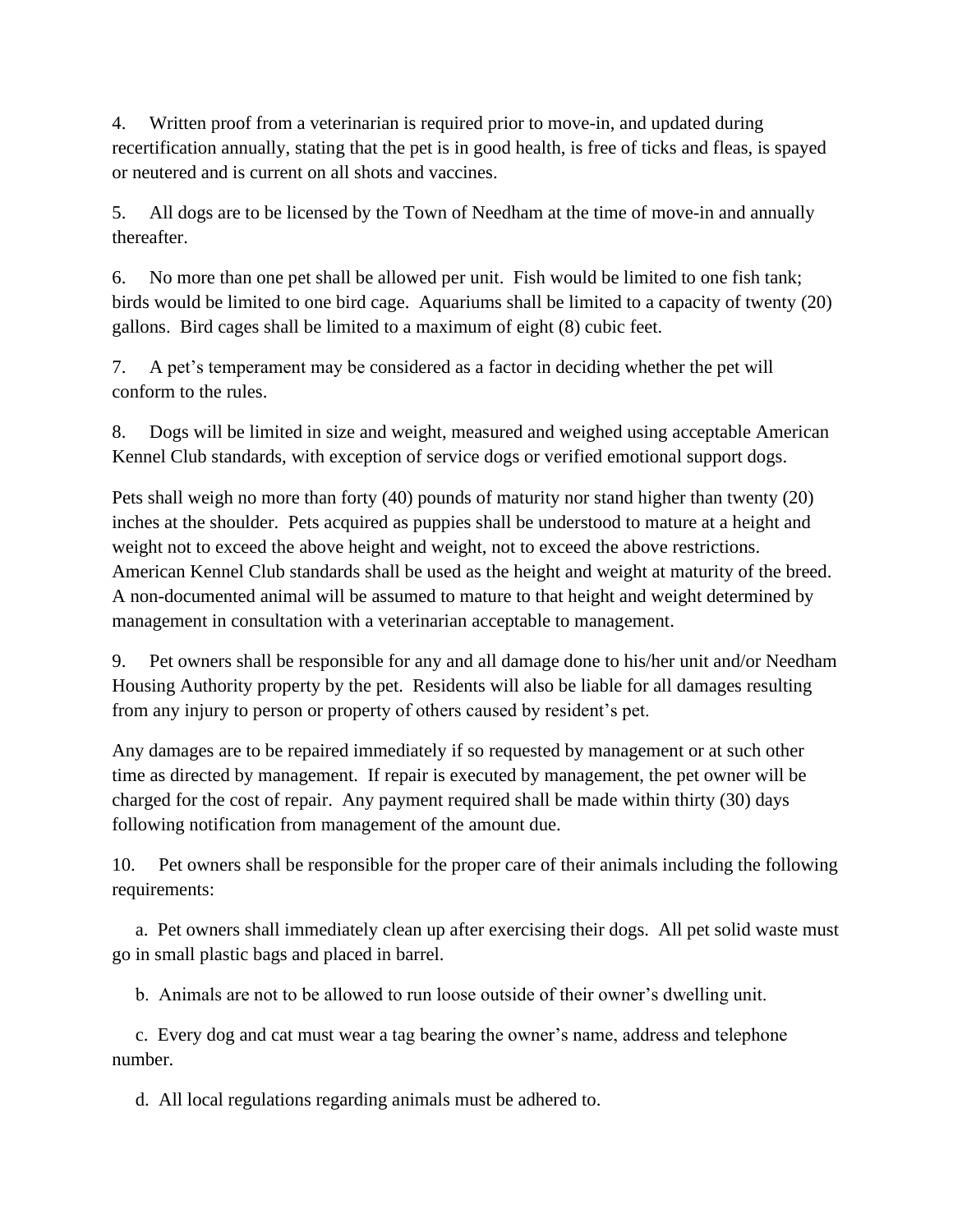4. Written proof from a veterinarian is required prior to move-in, and updated during recertification annually, stating that the pet is in good health, is free of ticks and fleas, is spayed or neutered and is current on all shots and vaccines.

5. All dogs are to be licensed by the Town of Needham at the time of move-in and annually thereafter.

6. No more than one pet shall be allowed per unit. Fish would be limited to one fish tank; birds would be limited to one bird cage. Aquariums shall be limited to a capacity of twenty (20) gallons. Bird cages shall be limited to a maximum of eight (8) cubic feet.

7. A pet's temperament may be considered as a factor in deciding whether the pet will conform to the rules.

8. Dogs will be limited in size and weight, measured and weighed using acceptable American Kennel Club standards, with exception of service dogs or verified emotional support dogs.

Pets shall weigh no more than forty (40) pounds of maturity nor stand higher than twenty (20) inches at the shoulder. Pets acquired as puppies shall be understood to mature at a height and weight not to exceed the above height and weight, not to exceed the above restrictions. American Kennel Club standards shall be used as the height and weight at maturity of the breed. A non-documented animal will be assumed to mature to that height and weight determined by management in consultation with a veterinarian acceptable to management.

9. Pet owners shall be responsible for any and all damage done to his/her unit and/or Needham Housing Authority property by the pet. Residents will also be liable for all damages resulting from any injury to person or property of others caused by resident's pet.

Any damages are to be repaired immediately if so requested by management or at such other time as directed by management. If repair is executed by management, the pet owner will be charged for the cost of repair. Any payment required shall be made within thirty (30) days following notification from management of the amount due.

10. Pet owners shall be responsible for the proper care of their animals including the following requirements:

 a. Pet owners shall immediately clean up after exercising their dogs. All pet solid waste must go in small plastic bags and placed in barrel.

b. Animals are not to be allowed to run loose outside of their owner's dwelling unit.

 c. Every dog and cat must wear a tag bearing the owner's name, address and telephone number.

d. All local regulations regarding animals must be adhered to.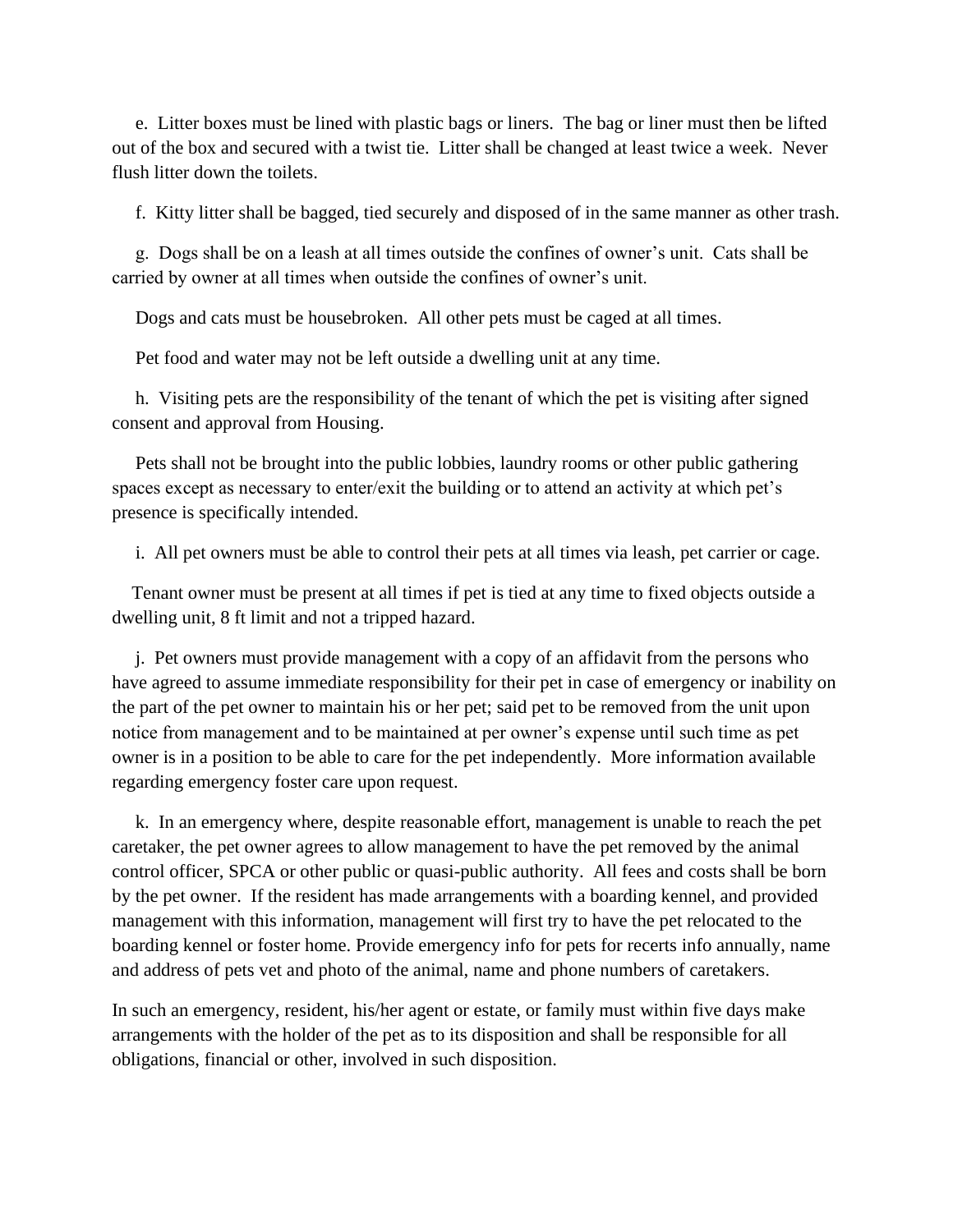e. Litter boxes must be lined with plastic bags or liners. The bag or liner must then be lifted out of the box and secured with a twist tie. Litter shall be changed at least twice a week. Never flush litter down the toilets.

f. Kitty litter shall be bagged, tied securely and disposed of in the same manner as other trash.

 g. Dogs shall be on a leash at all times outside the confines of owner's unit. Cats shall be carried by owner at all times when outside the confines of owner's unit.

Dogs and cats must be housebroken. All other pets must be caged at all times.

Pet food and water may not be left outside a dwelling unit at any time.

 h. Visiting pets are the responsibility of the tenant of which the pet is visiting after signed consent and approval from Housing.

 Pets shall not be brought into the public lobbies, laundry rooms or other public gathering spaces except as necessary to enter/exit the building or to attend an activity at which pet's presence is specifically intended.

i. All pet owners must be able to control their pets at all times via leash, pet carrier or cage.

 Tenant owner must be present at all times if pet is tied at any time to fixed objects outside a dwelling unit, 8 ft limit and not a tripped hazard.

 j. Pet owners must provide management with a copy of an affidavit from the persons who have agreed to assume immediate responsibility for their pet in case of emergency or inability on the part of the pet owner to maintain his or her pet; said pet to be removed from the unit upon notice from management and to be maintained at per owner's expense until such time as pet owner is in a position to be able to care for the pet independently. More information available regarding emergency foster care upon request.

 k. In an emergency where, despite reasonable effort, management is unable to reach the pet caretaker, the pet owner agrees to allow management to have the pet removed by the animal control officer, SPCA or other public or quasi-public authority. All fees and costs shall be born by the pet owner. If the resident has made arrangements with a boarding kennel, and provided management with this information, management will first try to have the pet relocated to the boarding kennel or foster home. Provide emergency info for pets for recerts info annually, name and address of pets vet and photo of the animal, name and phone numbers of caretakers.

In such an emergency, resident, his/her agent or estate, or family must within five days make arrangements with the holder of the pet as to its disposition and shall be responsible for all obligations, financial or other, involved in such disposition.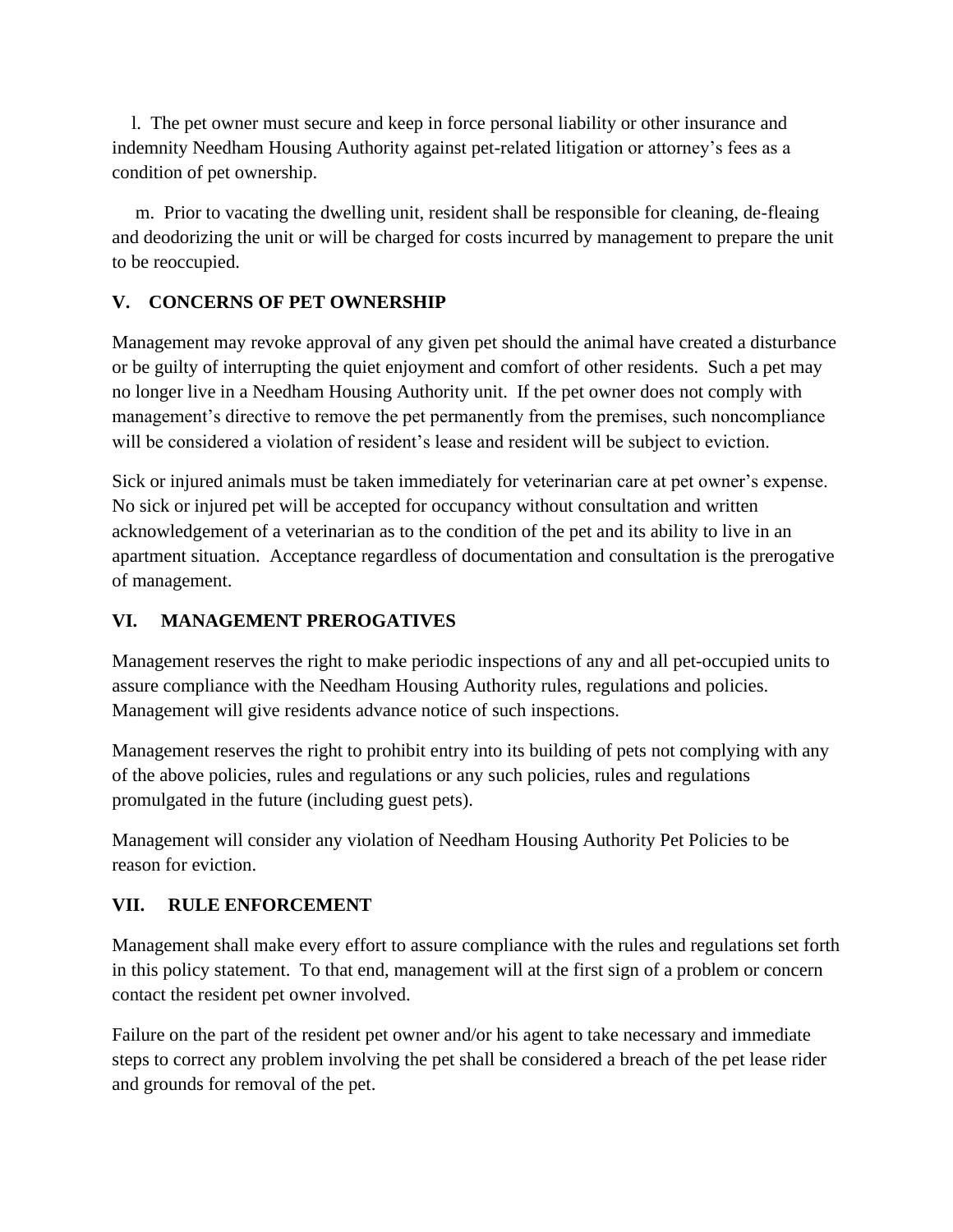l. The pet owner must secure and keep in force personal liability or other insurance and indemnity Needham Housing Authority against pet-related litigation or attorney's fees as a condition of pet ownership.

 m. Prior to vacating the dwelling unit, resident shall be responsible for cleaning, de-fleaing and deodorizing the unit or will be charged for costs incurred by management to prepare the unit to be reoccupied.

### **V. CONCERNS OF PET OWNERSHIP**

Management may revoke approval of any given pet should the animal have created a disturbance or be guilty of interrupting the quiet enjoyment and comfort of other residents. Such a pet may no longer live in a Needham Housing Authority unit. If the pet owner does not comply with management's directive to remove the pet permanently from the premises, such noncompliance will be considered a violation of resident's lease and resident will be subject to eviction.

Sick or injured animals must be taken immediately for veterinarian care at pet owner's expense. No sick or injured pet will be accepted for occupancy without consultation and written acknowledgement of a veterinarian as to the condition of the pet and its ability to live in an apartment situation. Acceptance regardless of documentation and consultation is the prerogative of management.

# **VI. MANAGEMENT PREROGATIVES**

Management reserves the right to make periodic inspections of any and all pet-occupied units to assure compliance with the Needham Housing Authority rules, regulations and policies. Management will give residents advance notice of such inspections.

Management reserves the right to prohibit entry into its building of pets not complying with any of the above policies, rules and regulations or any such policies, rules and regulations promulgated in the future (including guest pets).

Management will consider any violation of Needham Housing Authority Pet Policies to be reason for eviction.

### **VII. RULE ENFORCEMENT**

Management shall make every effort to assure compliance with the rules and regulations set forth in this policy statement. To that end, management will at the first sign of a problem or concern contact the resident pet owner involved.

Failure on the part of the resident pet owner and/or his agent to take necessary and immediate steps to correct any problem involving the pet shall be considered a breach of the pet lease rider and grounds for removal of the pet.